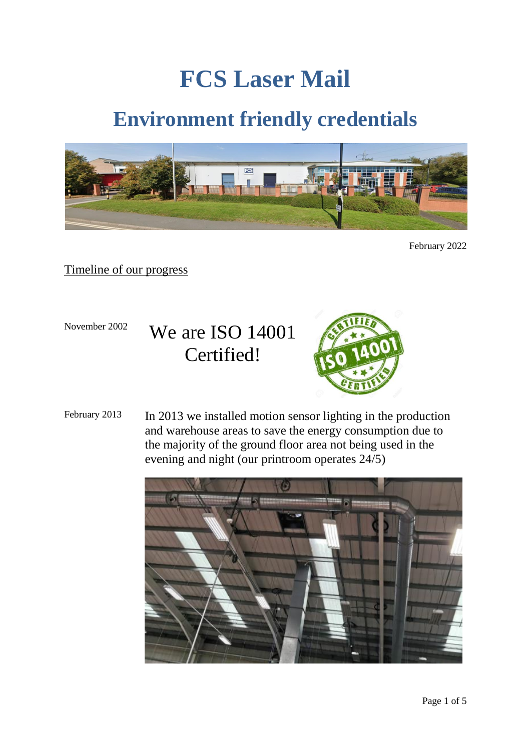# **FCS Laser Mail**

## **Environment friendly credentials**



February 2022

Timeline of our progress

November 2002 We are ISO 14001 Certified!



February 2013 In 2013 we installed motion sensor lighting in the production and warehouse areas to save the energy consumption due to the majority of the ground floor area not being used in the evening and night (our printroom operates 24/5)

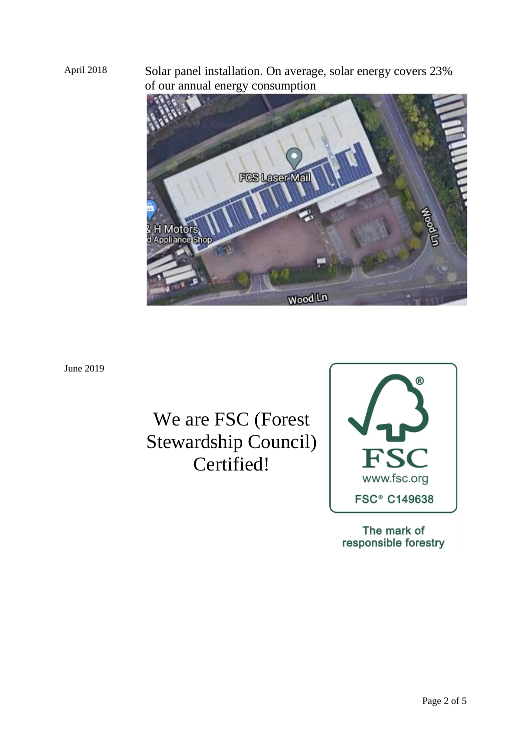April 2018 Solar panel installation. On average, solar energy covers 23% of our annual energy consumption



June 2019

We are FSC (Forest Stewardship Council) Certified!



The mark of responsible forestry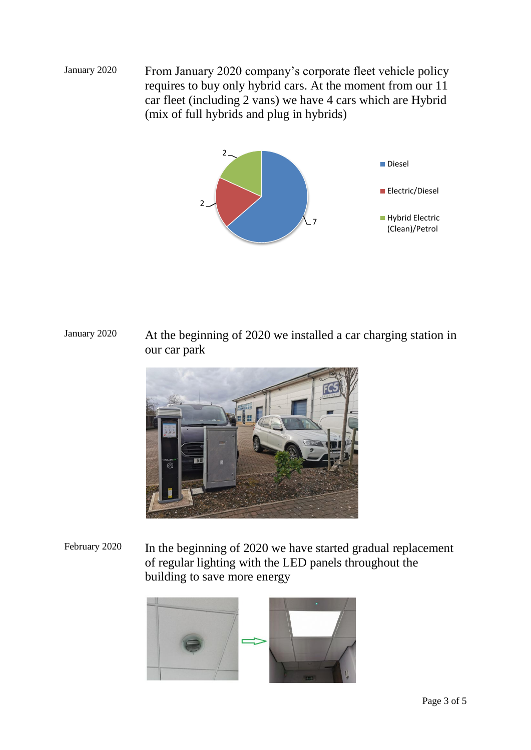January 2020 From January 2020 company's corporate fleet vehicle policy requires to buy only hybrid cars. At the moment from our 11 car fleet (including 2 vans) we have 4 cars which are Hybrid (mix of full hybrids and plug in hybrids)



January 2020 At the beginning of 2020 we installed a car charging station in our car park



February 2020 In the beginning of 2020 we have started gradual replacement of regular lighting with the LED panels throughout the building to save more energy

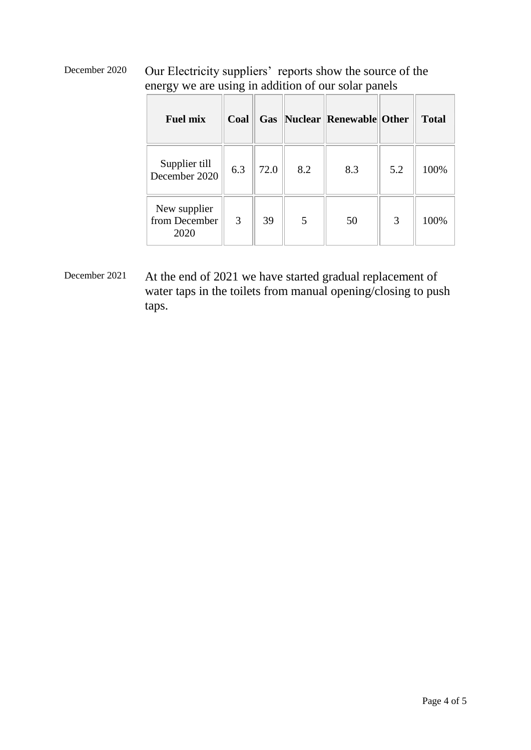| <b>Fuel mix</b>                       | Coal |      |     | <b>Gas  Nuclear  Renewable  Other</b> |     | <b>Total</b> |
|---------------------------------------|------|------|-----|---------------------------------------|-----|--------------|
| Supplier till<br>December 2020        | 6.3  | 72.0 | 8.2 | 8.3                                   | 5.2 | 100%         |
| New supplier<br>from December<br>2020 | 3    | 39   | 5   | 50                                    | 3   | 100%         |

December 2020 Our Electricity suppliers' reports show the source of the energy we are using in addition of our solar panels

December 2021 At the end of 2021 we have started gradual replacement of water taps in the toilets from manual opening/closing to push taps.